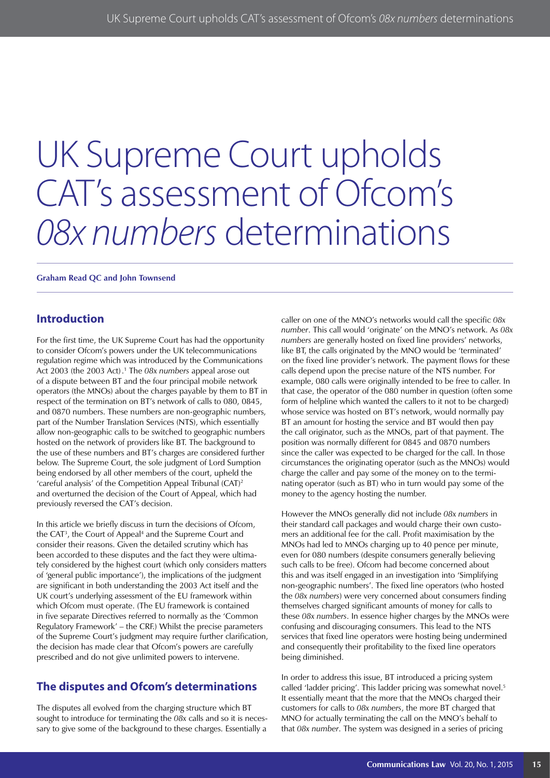# UK Supreme Court upholds CAT's assessment of Ofcom's *08x numbers* determinations

**Graham Read QC and John Townsend**

### **Introduction**

For the first time, the UK Supreme Court has had the opportunity to consider Ofcom's powers under the UK telecommunications regulation regime which was introduced by the Communications Act 2003 (the 2003 Act). 1 The *08x numbers* appeal arose out of a dispute between BT and the four principal mobile network operators (the MNOs) about the charges payable by them to BT in respect of the termination on BT's network of calls to 080, 0845, and 0870 numbers. These numbers are non-geographic numbers, part of the Number Translation Services (NTS), which essentially allow non-geographic calls to be switched to geographic numbers hosted on the network of providers like BT. The background to the use of these numbers and BT's charges are considered further below. The Supreme Court, the sole judgment of Lord Sumption being endorsed by all other members of the court, upheld the 'careful analysis' of the Competition Appeal Tribunal (CAT)2 and overturned the decision of the Court of Appeal, which had previously reversed the CAT's decision.

In this article we briefly discuss in turn the decisions of Ofcom, the CAT<sup>3</sup>, the Court of Appeal<sup>4</sup> and the Supreme Court and consider their reasons. Given the detailed scrutiny which has been accorded to these disputes and the fact they were ultimately considered by the highest court (which only considers matters of 'general public importance'), the implications of the judgment are significant in both understanding the 2003 Act itself and the UK court's underlying assessment of the EU framework within which Ofcom must operate. (The EU framework is contained in five separate Directives referred to normally as the 'Common Regulatory Framework' – the CRF.) Whilst the precise parameters of the Supreme Court's judgment may require further clarification, the decision has made clear that Ofcom's powers are carefully prescribed and do not give unlimited powers to intervene.

# **The disputes and Ofcom's determinations**

The disputes all evolved from the charging structure which BT sought to introduce for terminating the *08x* calls and so it is necessary to give some of the background to these charges. Essentially a caller on one of the MNO's networks would call the specific *08x number*. This call would 'originate' on the MNO's network. As *08x numbers* are generally hosted on fixed line providers' networks, like BT, the calls originated by the MNO would be 'terminated' on the fixed line provider's network. The payment flows for these calls depend upon the precise nature of the NTS number. For example, 080 calls were originally intended to be free to caller. In that case, the operator of the 080 number in question (often some form of helpline which wanted the callers to it not to be charged) whose service was hosted on BT's network, would normally pay BT an amount for hosting the service and BT would then pay the call originator, such as the MNOs, part of that payment. The position was normally different for 0845 and 0870 numbers since the caller was expected to be charged for the call. In those circumstances the originating operator (such as the MNOs) would charge the caller and pay some of the money on to the terminating operator (such as BT) who in turn would pay some of the money to the agency hosting the number.

However the MNOs generally did not include *08x numbers* in their standard call packages and would charge their own customers an additional fee for the call. Profit maximisation by the MNOs had led to MNOs charging up to 40 pence per minute, even for 080 numbers (despite consumers generally believing such calls to be free). Ofcom had become concerned about this and was itself engaged in an investigation into 'Simplifying non-geographic numbers'. The fixed line operators (who hosted the *08x numbers*) were very concerned about consumers finding themselves charged significant amounts of money for calls to these *08x numbers*. In essence higher charges by the MNOs were confusing and discouraging consumers. This lead to the NTS services that fixed line operators were hosting being undermined and consequently their profitability to the fixed line operators being diminished.

In order to address this issue, BT introduced a pricing system called 'ladder pricing'. This ladder pricing was somewhat novel.<sup>5</sup> It essentially meant that the more that the MNOs charged their customers for calls to *08x numbers*, the more BT charged that MNO for actually terminating the call on the MNO's behalf to that *08x number*. The system was designed in a series of pricing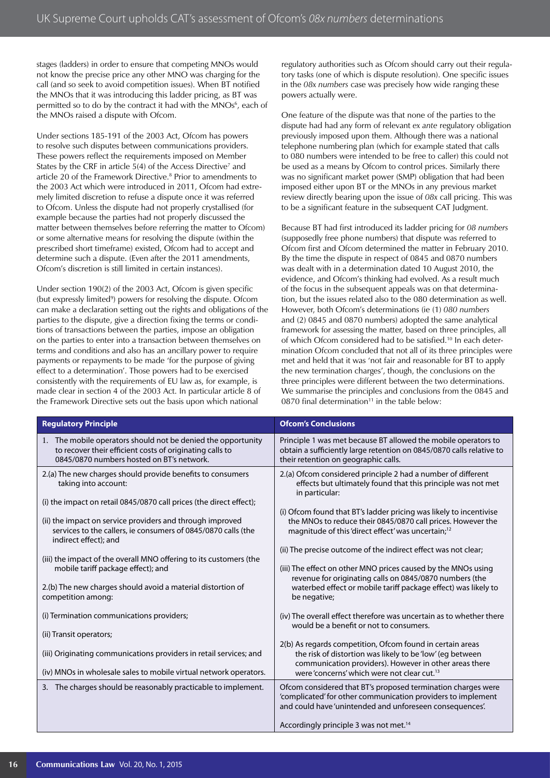stages (ladders) in order to ensure that competing MNOs would not know the precise price any other MNO was charging for the call (and so seek to avoid competition issues). When BT notified the MNOs that it was introducing this ladder pricing, as BT was permitted so to do by the contract it had with the MNOs<sup>6</sup>, each of the MNOs raised a dispute with Ofcom.

Under sections 185-191 of the 2003 Act, Ofcom has powers to resolve such disputes between communications providers. These powers reflect the requirements imposed on Member States by the CRF in article 5(4) of the Access Directive<sup>7</sup> and article 20 of the Framework Directive.<sup>8</sup> Prior to amendments to the 2003 Act which were introduced in 2011, Ofcom had extremely limited discretion to refuse a dispute once it was referred to Ofcom. Unless the dispute had not properly crystallised (for example because the parties had not properly discussed the matter between themselves before referring the matter to Ofcom) or some alternative means for resolving the dispute (within the prescribed short timeframe) existed, Ofcom had to accept and determine such a dispute. (Even after the 2011 amendments, Ofcom's discretion is still limited in certain instances).

Under section 190(2) of the 2003 Act, Ofcom is given specific (but expressly limited<sup>9</sup>) powers for resolving the dispute. Ofcom can make a declaration setting out the rights and obligations of the parties to the dispute, give a direction fixing the terms or conditions of transactions between the parties, impose an obligation on the parties to enter into a transaction between themselves on terms and conditions and also has an ancillary power to require payments or repayments to be made 'for the purpose of giving effect to a determination'. Those powers had to be exercised consistently with the requirements of EU law as, for example, is made clear in section 4 of the 2003 Act. In particular article 8 of the Framework Directive sets out the basis upon which national

regulatory authorities such as Ofcom should carry out their regulatory tasks (one of which is dispute resolution). One specific issues in the *08x numbers* case was precisely how wide ranging these powers actually were.

One feature of the dispute was that none of the parties to the dispute had had any form of relevant *ex ante* regulatory obligation previously imposed upon them. Although there was a national telephone numbering plan (which for example stated that calls to 080 numbers were intended to be free to caller) this could not be used as a means by Ofcom to control prices. Similarly there was no significant market power (SMP) obligation that had been imposed either upon BT or the MNOs in any previous market review directly bearing upon the issue of *08x* call pricing. This was to be a significant feature in the subsequent CAT Judgment.

Because BT had first introduced its ladder pricing for *08 numbers* (supposedly free phone numbers) that dispute was referred to Ofcom first and Ofcom determined the matter in February 2010. By the time the dispute in respect of 0845 and 0870 numbers was dealt with in a determination dated 10 August 2010, the evidence, and Ofcom's thinking had evolved. As a result much of the focus in the subsequent appeals was on that determination, but the issues related also to the 080 determination as well. However, both Ofcom's determinations (ie (1) *080 numbers* and (2) 0845 and 0870 numbers) adopted the same analytical framework for assessing the matter, based on three principles, all of which Ofcom considered had to be satisfied.10 In each determination Ofcom concluded that not all of its three principles were met and held that it was 'not fair and reasonable for BT to apply the new termination charges', though, the conclusions on the three principles were different between the two determinations. We summarise the principles and conclusions from the 0845 and 0870 final determination $11$  in the table below:

| <b>Regulatory Principle</b>                                                                                                                                                                                                                                                                                                                                                                                                                                                                                                                                                                                                                                     | <b>Ofcom's Conclusions</b>                                                                                                                                                                                                                                                                                                                                                                                                                                                                                                                                                                                                                                                                                                                                                                                                                                                                                                                  |
|-----------------------------------------------------------------------------------------------------------------------------------------------------------------------------------------------------------------------------------------------------------------------------------------------------------------------------------------------------------------------------------------------------------------------------------------------------------------------------------------------------------------------------------------------------------------------------------------------------------------------------------------------------------------|---------------------------------------------------------------------------------------------------------------------------------------------------------------------------------------------------------------------------------------------------------------------------------------------------------------------------------------------------------------------------------------------------------------------------------------------------------------------------------------------------------------------------------------------------------------------------------------------------------------------------------------------------------------------------------------------------------------------------------------------------------------------------------------------------------------------------------------------------------------------------------------------------------------------------------------------|
| 1. The mobile operators should not be denied the opportunity<br>to recover their efficient costs of originating calls to<br>0845/0870 numbers hosted on BT's network.                                                                                                                                                                                                                                                                                                                                                                                                                                                                                           | Principle 1 was met because BT allowed the mobile operators to<br>obtain a sufficiently large retention on 0845/0870 calls relative to<br>their retention on geographic calls.                                                                                                                                                                                                                                                                                                                                                                                                                                                                                                                                                                                                                                                                                                                                                              |
| 2.(a) The new charges should provide benefits to consumers<br>taking into account:<br>(i) the impact on retail 0845/0870 call prices (the direct effect);<br>(ii) the impact on service providers and through improved<br>services to the callers, ie consumers of 0845/0870 calls (the<br>indirect effect); and<br>(iii) the impact of the overall MNO offering to its customers (the<br>mobile tariff package effect); and<br>2.(b) The new charges should avoid a material distortion of<br>competition among:<br>(i) Termination communications providers;<br>(ii) Transit operators;<br>(iii) Originating communications providers in retail services; and | 2.(a) Ofcom considered principle 2 had a number of different<br>effects but ultimately found that this principle was not met<br>in particular:<br>(i) Ofcom found that BT's ladder pricing was likely to incentivise<br>the MNOs to reduce their 0845/0870 call prices. However the<br>magnitude of this 'direct effect' was uncertain; <sup>12</sup><br>(ii) The precise outcome of the indirect effect was not clear;<br>(iii) The effect on other MNO prices caused by the MNOs using<br>revenue for originating calls on 0845/0870 numbers (the<br>waterbed effect or mobile tariff package effect) was likely to<br>be negative;<br>(iv) The overall effect therefore was uncertain as to whether there<br>would be a benefit or not to consumers.<br>2(b) As regards competition, Ofcom found in certain areas<br>the risk of distortion was likely to be 'low' (eg between<br>communication providers). However in other areas there |
| (iv) MNOs in wholesale sales to mobile virtual network operators.<br>3. The charges should be reasonably practicable to implement.                                                                                                                                                                                                                                                                                                                                                                                                                                                                                                                              | were 'concerns' which were not clear cut. <sup>13</sup><br>Ofcom considered that BT's proposed termination charges were<br>'complicated' for other communication providers to implement<br>and could have 'unintended and unforeseen consequences'.<br>Accordingly principle 3 was not met. <sup>14</sup>                                                                                                                                                                                                                                                                                                                                                                                                                                                                                                                                                                                                                                   |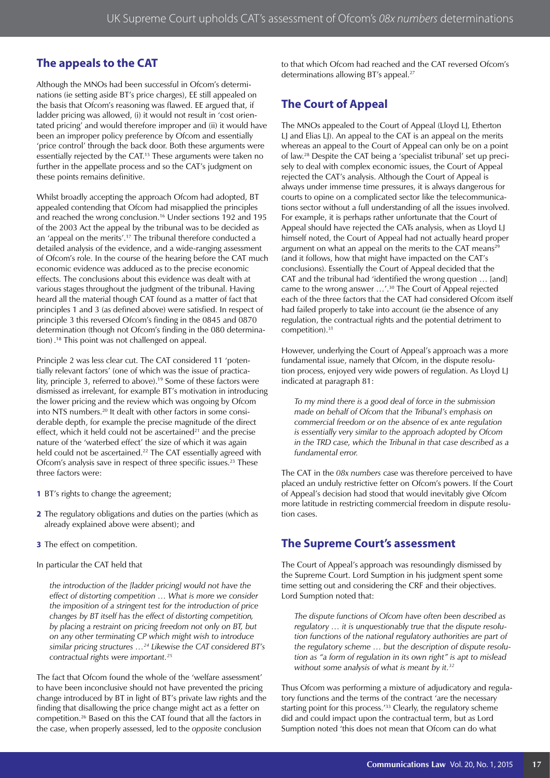## **The appeals to the CAT**

Although the MNOs had been successful in Ofcom's determinations (ie setting aside BT's price charges), EE still appealed on the basis that Ofcom's reasoning was flawed. EE argued that, if ladder pricing was allowed, (i) it would not result in 'cost orientated pricing' and would therefore improper and (ii) it would have been an improper policy preference by Ofcom and essentially 'price control' through the back door. Both these arguments were essentially rejected by the CAT.<sup>15</sup> These arguments were taken no further in the appellate process and so the CAT's judgment on these points remains definitive.

Whilst broadly accepting the approach Ofcom had adopted, BT appealed contending that Ofcom had misapplied the principles and reached the wrong conclusion.16 Under sections 192 and 195 of the 2003 Act the appeal by the tribunal was to be decided as an 'appeal on the merits'.<sup>17</sup> The tribunal therefore conducted a detailed analysis of the evidence, and a wide-ranging assessment of Ofcom's role. In the course of the hearing before the CAT much economic evidence was adduced as to the precise economic effects. The conclusions about this evidence was dealt with at various stages throughout the judgment of the tribunal. Having heard all the material though CAT found as a matter of fact that principles 1 and 3 (as defined above) were satisfied. In respect of principle 3 this reversed Ofcom's finding in the 0845 and 0870 determination (though not Ofcom's finding in the 080 determination) . 18 This point was not challenged on appeal.

Principle 2 was less clear cut. The CAT considered 11 'potentially relevant factors' (one of which was the issue of practicality, principle 3, referred to above).<sup>19</sup> Some of these factors were dismissed as irrelevant, for example BT's motivation in introducing the lower pricing and the review which was ongoing by Ofcom into NTS numbers.<sup>20</sup> It dealt with other factors in some considerable depth, for example the precise magnitude of the direct effect, which it held could not be ascertained $2<sup>1</sup>$  and the precise nature of the 'waterbed effect' the size of which it was again held could not be ascertained.<sup>22</sup> The CAT essentially agreed with Ofcom's analysis save in respect of three specific issues.<sup>23</sup> These three factors were:

- **1** BT's rights to change the agreement;
- **2** The regulatory obligations and duties on the parties (which as already explained above were absent); and
- **3** The effect on competition.

In particular the CAT held that

*the introduction of the [ladder pricing] would not have the effect of distorting competition … What is more we consider the imposition of a stringent test for the introduction of price changes by BT itself has the effect of distorting competition, by placing a restraint on pricing freedom not only on BT, but on any other terminating CP which might wish to introduce similar pricing structures …24 Likewise the CAT considered BT's contractual rights were important.25*

The fact that Ofcom found the whole of the 'welfare assessment' to have been inconclusive should not have prevented the pricing change introduced by BT in light of BT's private law rights and the finding that disallowing the price change might act as a fetter on competition.26 Based on this the CAT found that all the factors in the case, when properly assessed, led to the *opposite* conclusion

to that which Ofcom had reached and the CAT reversed Ofcom's determinations allowing BT's appeal.<sup>27</sup>

# **The Court of Appeal**

The MNOs appealed to the Court of Appeal (Lloyd LJ, Etherton LJ and Elias LJ). An appeal to the CAT is an appeal on the merits whereas an appeal to the Court of Appeal can only be on a point of law.28 Despite the CAT being a 'specialist tribunal' set up precisely to deal with complex economic issues, the Court of Appeal rejected the CAT's analysis. Although the Court of Appeal is always under immense time pressures, it is always dangerous for courts to opine on a complicated sector like the telecommunications sector without a full understanding of all the issues involved. For example, it is perhaps rather unfortunate that the Court of Appeal should have rejected the CATs analysis, when as Lloyd LJ himself noted, the Court of Appeal had not actually heard proper argument on what an appeal on the merits to the CAT means<sup>21</sup> (and it follows, how that might have impacted on the CAT's conclusions). Essentially the Court of Appeal decided that the CAT and the tribunal had 'identified the wrong question … [and] came to the wrong answer …'.30 The Court of Appeal rejected each of the three factors that the CAT had considered Ofcom itself had failed properly to take into account (ie the absence of any regulation, the contractual rights and the potential detriment to competition).31

However, underlying the Court of Appeal's approach was a more fundamental issue, namely that Ofcom, in the dispute resolution process, enjoyed very wide powers of regulation. As Lloyd LJ indicated at paragraph 81:

*To my mind there is a good deal of force in the submission made on behalf of Ofcom that the Tribunal's emphasis on commercial freedom or on the absence of ex ante regulation is essentially very similar to the approach adopted by Ofcom in the TRD case, which the Tribunal in that case described as a fundamental error.* 

The CAT in the *08x numbers* case was therefore perceived to have placed an unduly restrictive fetter on Ofcom's powers. If the Court of Appeal's decision had stood that would inevitably give Ofcom more latitude in restricting commercial freedom in dispute resolution cases.

## **The Supreme Court's assessment**

The Court of Appeal's approach was resoundingly dismissed by the Supreme Court. Lord Sumption in his judgment spent some time setting out and considering the CRF and their objectives. Lord Sumption noted that:

*The dispute functions of Ofcom have often been described as regulatory … it is unquestionably true that the dispute resolution functions of the national regulatory authorities are part of the regulatory scheme … but the description of dispute resolution as "a form of regulation in its own right" is apt to mislead without some analysis of what is meant by it.32*

Thus Ofcom was performing a mixture of adjudicatory and regulatory functions and the terms of the contract 'are the necessary starting point for this process.<sup>'33</sup> Clearly, the regulatory scheme did and could impact upon the contractual term, but as Lord Sumption noted 'this does not mean that Ofcom can do what